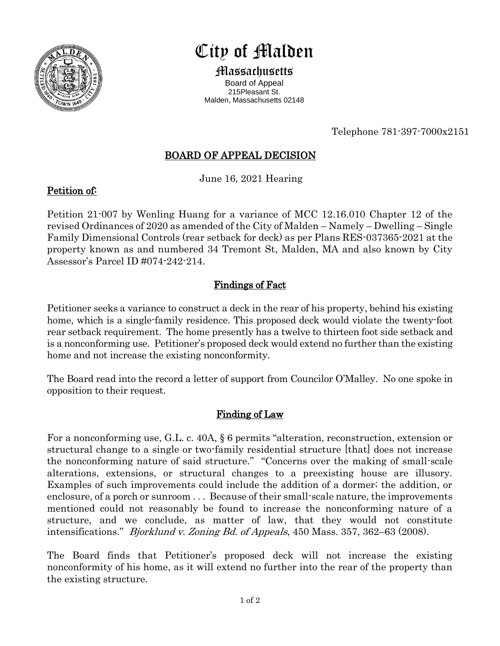

# City of Malden

Massachusetts Board of Appeal 215Pleasant St. Malden, Massachusetts 02148

Telephone 781-397-7000x2151

## BOARD OF APPEAL DECISION

June 16, 2021 Hearing

#### Petition of:

Petition 21-007 by Wenling Huang for a variance of MCC 12.16.010 Chapter 12 of the revised Ordinances of 2020 as amended of the City of Malden – Namely – Dwelling – Single Family Dimensional Controls (rear setback for deck) as per Plans RES-037365-2021 at the property known as and numbered 34 Tremont St, Malden, MA and also known by City Assessor's Parcel ID #074-242-214.

## Findings of Fact

Petitioner seeks a variance to construct a deck in the rear of his property, behind his existing home, which is a single-family residence. This proposed deck would violate the twenty-foot rear setback requirement. The home presently has a twelve to thirteen foot side setback and is a nonconforming use. Petitioner's proposed deck would extend no further than the existing home and not increase the existing nonconformity.

The Board read into the record a letter of support from Councilor O'Malley. No one spoke in opposition to their request.

### Finding of Law

For a nonconforming use, G.L. c. 40A, § 6 permits "alteration, reconstruction, extension or structural change to a single or two-family residential structure [that] does not increase the nonconforming nature of said structure." "Concerns over the making of small-scale alterations, extensions, or structural changes to a preexisting house are illusory. Examples of such improvements could include the addition of a dormer; the addition, or enclosure, of a porch or sunroom . . . Because of their small-scale nature, the improvements mentioned could not reasonably be found to increase the nonconforming nature of a structure, and we conclude, as matter of law, that they would not constitute intensifications." Bjorklund v. Zoning Bd. of Appeals, 450 Mass. 357, 362–63 (2008).

The Board finds that Petitioner's proposed deck will not increase the existing nonconformity of his home, as it will extend no further into the rear of the property than the existing structure.